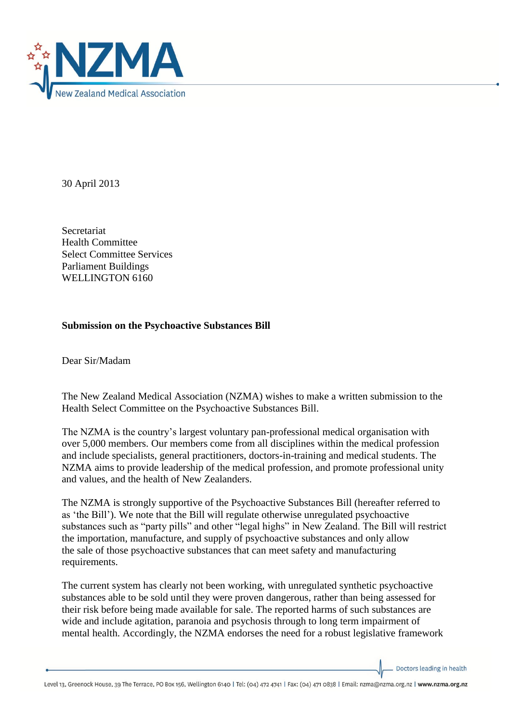

30 April 2013

Secretariat Health Committee Select Committee Services Parliament Buildings WELLINGTON 6160

## **Submission on the Psychoactive Substances Bill**

Dear Sir/Madam

The New Zealand Medical Association (NZMA) wishes to make a written submission to the Health Select Committee on the Psychoactive Substances Bill.

The NZMA is the country's largest voluntary pan-professional medical organisation with over 5,000 members. Our members come from all disciplines within the medical profession and include specialists, general practitioners, doctors-in-training and medical students. The NZMA aims to provide leadership of the medical profession, and promote professional unity and values, and the health of New Zealanders.

The NZMA is strongly supportive of the Psychoactive Substances Bill (hereafter referred to as 'the Bill'). We note that the Bill will regulate otherwise unregulated psychoactive substances such as "party pills" and other "legal highs" in New Zealand. The Bill will restrict the importation, manufacture, and supply of psychoactive substances and only allow the sale of those psychoactive substances that can meet safety and manufacturing requirements.

The current system has clearly not been working, with unregulated synthetic psychoactive substances able to be sold until they were proven dangerous, rather than being assessed for their risk before being made available for sale. The reported harms of such substances are wide and include agitation, paranoia and psychosis through to long term impairment of mental health. Accordingly, the NZMA endorses the need for a robust legislative framework

Doctors leading in health